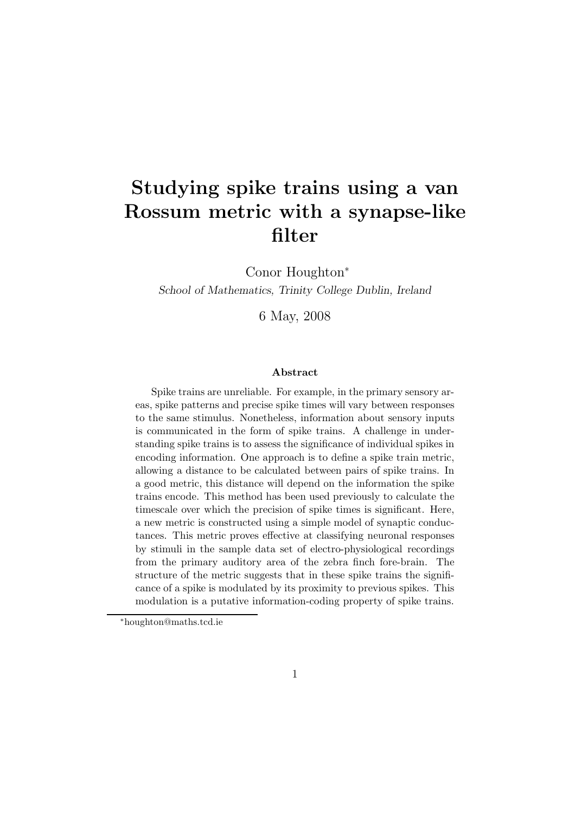# Studying spike trains using a van Rossum metric with a synapse-like filter

Conor Houghton<sup>∗</sup>

School of Mathematics, Trinity College Dublin, Ireland

6 May, 2008

#### Abstract

Spike trains are unreliable. For example, in the primary sensory areas, spike patterns and precise spike times will vary between responses to the same stimulus. Nonetheless, information about sensory inputs is communicated in the form of spike trains. A challenge in understanding spike trains is to assess the significance of individual spikes in encoding information. One approach is to define a spike train metric, allowing a distance to be calculated between pairs of spike trains. In a good metric, this distance will depend on the information the spike trains encode. This method has been used previously to calculate the timescale over which the precision of spike times is significant. Here, a new metric is constructed using a simple model of synaptic conductances. This metric proves effective at classifying neuronal responses by stimuli in the sample data set of electro-physiological recordings from the primary auditory area of the zebra finch fore-brain. The structure of the metric suggests that in these spike trains the significance of a spike is modulated by its proximity to previous spikes. This modulation is a putative information-coding property of spike trains.

<sup>∗</sup>houghton@maths.tcd.ie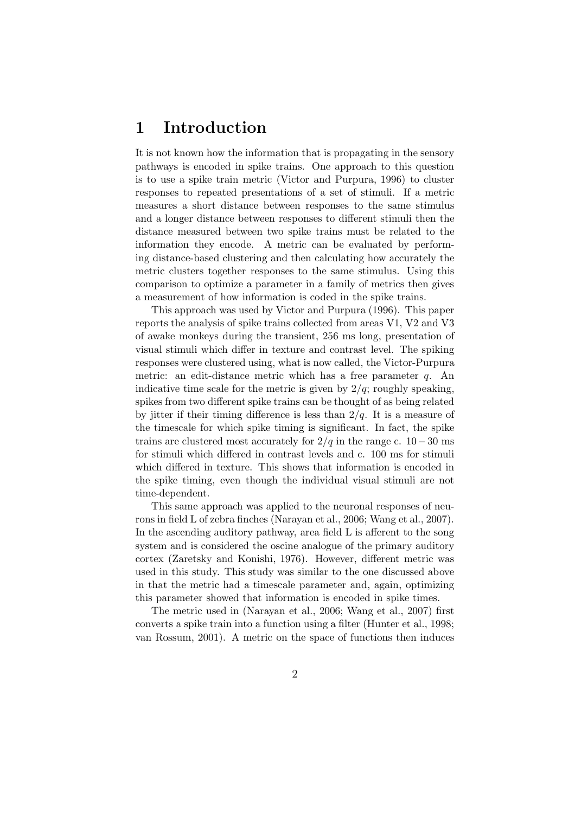### 1 Introduction

It is not known how the information that is propagating in the sensory pathways is encoded in spike trains. One approach to this question is to use a spike train metric (Victor and Purpura, 1996) to cluster responses to repeated presentations of a set of stimuli. If a metric measures a short distance between responses to the same stimulus and a longer distance between responses to different stimuli then the distance measured between two spike trains must be related to the information they encode. A metric can be evaluated by performing distance-based clustering and then calculating how accurately the metric clusters together responses to the same stimulus. Using this comparison to optimize a parameter in a family of metrics then gives a measurement of how information is coded in the spike trains.

This approach was used by Victor and Purpura (1996). This paper reports the analysis of spike trains collected from areas V1, V2 and V3 of awake monkeys during the transient, 256 ms long, presentation of visual stimuli which differ in texture and contrast level. The spiking responses were clustered using, what is now called, the Victor-Purpura metric: an edit-distance metric which has a free parameter  $q$ . An indicative time scale for the metric is given by  $2/q$ ; roughly speaking, spikes from two different spike trains can be thought of as being related by jitter if their timing difference is less than  $2/q$ . It is a measure of the timescale for which spike timing is significant. In fact, the spike trains are clustered most accurately for  $2/q$  in the range c. 10−30 ms for stimuli which differed in contrast levels and c. 100 ms for stimuli which differed in texture. This shows that information is encoded in the spike timing, even though the individual visual stimuli are not time-dependent.

This same approach was applied to the neuronal responses of neurons in field L of zebra finches (Narayan et al., 2006; Wang et al., 2007). In the ascending auditory pathway, area field L is afferent to the song system and is considered the oscine analogue of the primary auditory cortex (Zaretsky and Konishi, 1976). However, different metric was used in this study. This study was similar to the one discussed above in that the metric had a timescale parameter and, again, optimizing this parameter showed that information is encoded in spike times.

The metric used in (Narayan et al., 2006; Wang et al., 2007) first converts a spike train into a function using a filter (Hunter et al., 1998; van Rossum, 2001). A metric on the space of functions then induces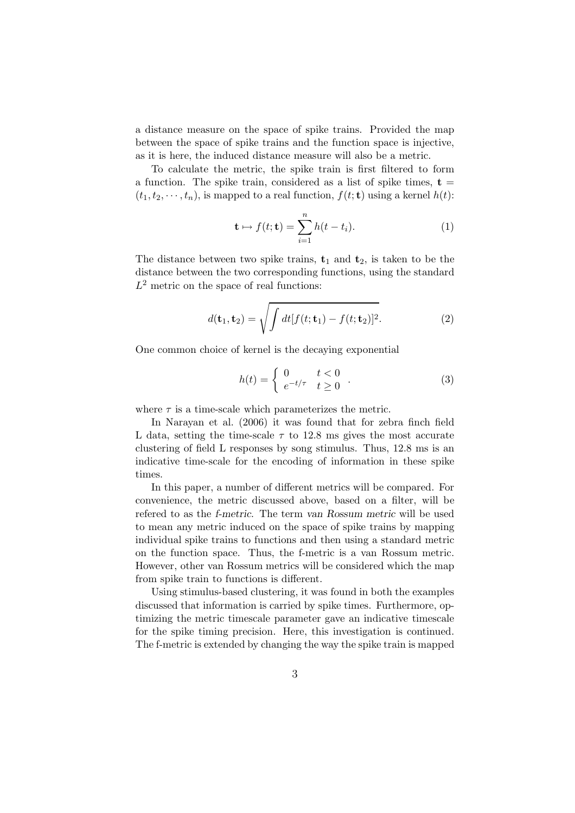a distance measure on the space of spike trains. Provided the map between the space of spike trains and the function space is injective, as it is here, the induced distance measure will also be a metric.

To calculate the metric, the spike train is first filtered to form a function. The spike train, considered as a list of spike times,  $t =$  $(t_1, t_2, \dots, t_n)$ , is mapped to a real function,  $f(t; \mathbf{t})$  using a kernel  $h(t)$ :

$$
\mathbf{t} \mapsto f(t; \mathbf{t}) = \sum_{i=1}^{n} h(t - t_i).
$$
 (1)

The distance between two spike trains,  $t_1$  and  $t_2$ , is taken to be the distance between the two corresponding functions, using the standard  $L^2$  metric on the space of real functions:

$$
d(\mathbf{t}_1, \mathbf{t}_2) = \sqrt{\int dt [f(t; \mathbf{t}_1) - f(t; \mathbf{t}_2)]^2}.
$$
 (2)

One common choice of kernel is the decaying exponential

$$
h(t) = \begin{cases} 0 & t < 0 \\ e^{-t/\tau} & t \ge 0 \end{cases} \tag{3}
$$

where  $\tau$  is a time-scale which parameterizes the metric.

In Narayan et al. (2006) it was found that for zebra finch field L data, setting the time-scale  $\tau$  to 12.8 ms gives the most accurate clustering of field L responses by song stimulus. Thus, 12.8 ms is an indicative time-scale for the encoding of information in these spike times.

In this paper, a number of different metrics will be compared. For convenience, the metric discussed above, based on a filter, will be refered to as the f-metric. The term van Rossum metric will be used to mean any metric induced on the space of spike trains by mapping individual spike trains to functions and then using a standard metric on the function space. Thus, the f-metric is a van Rossum metric. However, other van Rossum metrics will be considered which the map from spike train to functions is different.

Using stimulus-based clustering, it was found in both the examples discussed that information is carried by spike times. Furthermore, optimizing the metric timescale parameter gave an indicative timescale for the spike timing precision. Here, this investigation is continued. The f-metric is extended by changing the way the spike train is mapped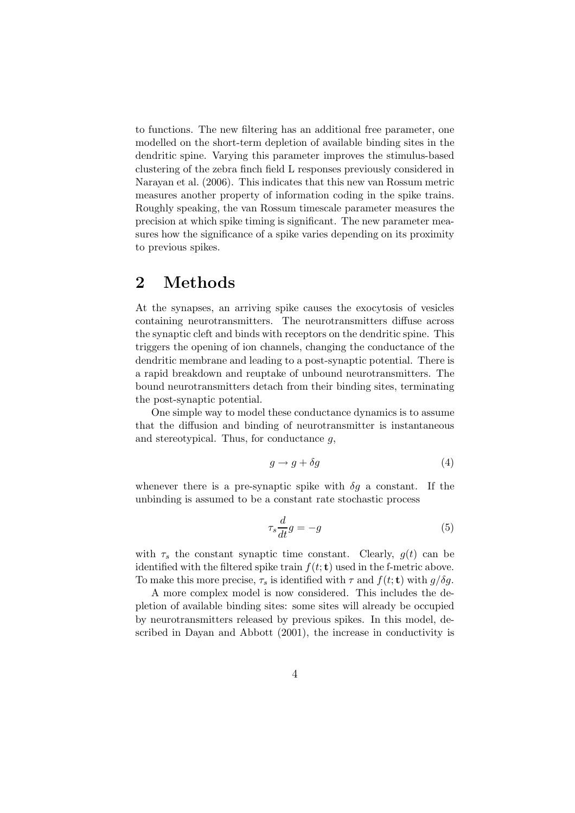to functions. The new filtering has an additional free parameter, one modelled on the short-term depletion of available binding sites in the dendritic spine. Varying this parameter improves the stimulus-based clustering of the zebra finch field L responses previously considered in Narayan et al. (2006). This indicates that this new van Rossum metric measures another property of information coding in the spike trains. Roughly speaking, the van Rossum timescale parameter measures the precision at which spike timing is significant. The new parameter measures how the significance of a spike varies depending on its proximity to previous spikes.

#### 2 Methods

At the synapses, an arriving spike causes the exocytosis of vesicles containing neurotransmitters. The neurotransmitters diffuse across the synaptic cleft and binds with receptors on the dendritic spine. This triggers the opening of ion channels, changing the conductance of the dendritic membrane and leading to a post-synaptic potential. There is a rapid breakdown and reuptake of unbound neurotransmitters. The bound neurotransmitters detach from their binding sites, terminating the post-synaptic potential.

One simple way to model these conductance dynamics is to assume that the diffusion and binding of neurotransmitter is instantaneous and stereotypical. Thus, for conductance  $q$ ,

$$
g \to g + \delta g \tag{4}
$$

whenever there is a pre-synaptic spike with  $\delta g$  a constant. If the unbinding is assumed to be a constant rate stochastic process

$$
\tau_s \frac{d}{dt} g = -g \tag{5}
$$

with  $\tau_s$  the constant synaptic time constant. Clearly,  $g(t)$  can be identified with the filtered spike train  $f(t; t)$  used in the f-metric above. To make this more precise,  $\tau_s$  is identified with  $\tau$  and  $f(t; \mathbf{t})$  with  $g/\delta g$ .

A more complex model is now considered. This includes the depletion of available binding sites: some sites will already be occupied by neurotransmitters released by previous spikes. In this model, described in Dayan and Abbott (2001), the increase in conductivity is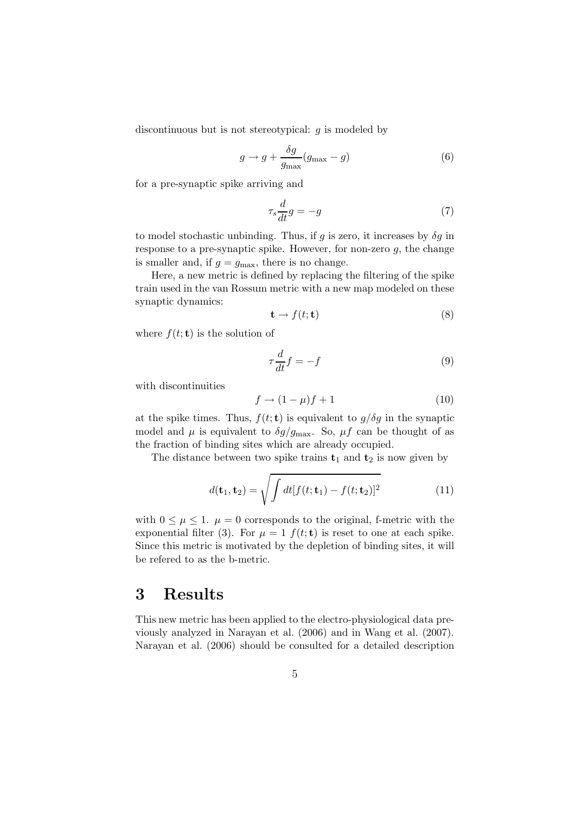discontinuous but is not stereotypical:  $g$  is modeled by

$$
g \to g + \frac{\delta g}{g_{\text{max}}} (g_{\text{max}} - g) \tag{6}
$$

for a pre-synaptic spike arriving and

$$
\tau_s \frac{d}{dt} g = -g \tag{7}
$$

to model stochastic unbinding. Thus, if  $g$  is zero, it increases by  $\delta g$  in response to a pre-synaptic spike. However, for non-zero  $g$ , the change is smaller and, if  $g = g_{\text{max}}$ , there is no change.

Here, a new metric is defined by replacing the filtering of the spike train used in the van Rossum metric with a new map modeled on these synaptic dynamics:

$$
\mathbf{t} \to f(t; \mathbf{t}) \tag{8}
$$

where  $f(t; \mathbf{t})$  is the solution of

$$
\tau \frac{d}{dt} f = -f \tag{9}
$$

with discontinuities

$$
f \to (1 - \mu)f + 1 \tag{10}
$$

at the spike times. Thus,  $f(t, t)$  is equivalent to  $g/\delta g$  in the synaptic model and  $\mu$  is equivalent to  $\delta g/g_{\text{max}}$ . So,  $\mu f$  can be thought of as the fraction of binding sites which are already occupied.

The distance between two spike trains  $t_1$  and  $t_2$  is now given by

$$
d(\mathbf{t}_1, \mathbf{t}_2) = \sqrt{\int dt [f(t; \mathbf{t}_1) - f(t; \mathbf{t}_2)]^2}
$$
(11)

with  $0 \leq \mu \leq 1$ .  $\mu = 0$  corresponds to the original, f-metric with the exponential filter (3). For  $\mu = 1$   $f(t; \mathbf{t})$  is reset to one at each spike. Since this metric is motivated by the depletion of binding sites, it will be refered to as the b-metric.

#### 3 Results

This new metric has been applied to the electro-physiological data previously analyzed in Narayan et al. (2006) and in Wang et al. (2007). Narayan et al. (2006) should be consulted for a detailed description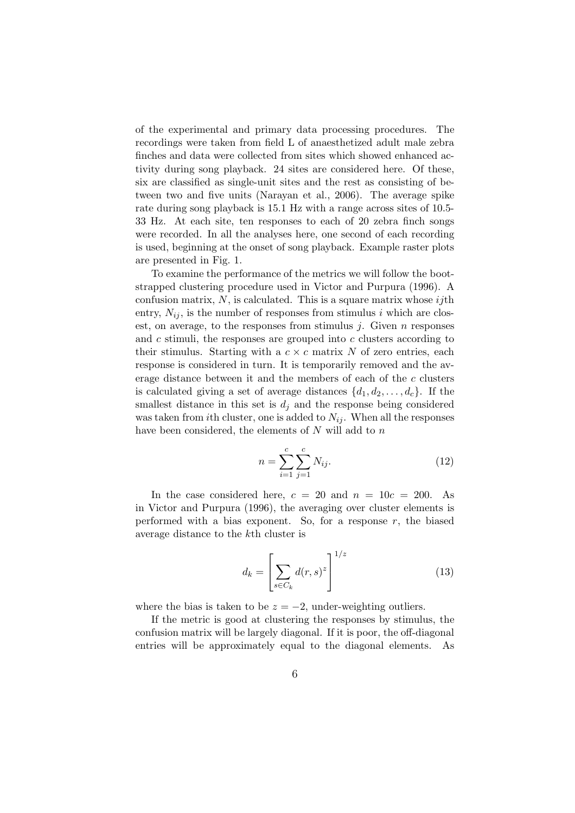of the experimental and primary data processing procedures. The recordings were taken from field L of anaesthetized adult male zebra finches and data were collected from sites which showed enhanced activity during song playback. 24 sites are considered here. Of these, six are classified as single-unit sites and the rest as consisting of between two and five units (Narayan et al., 2006). The average spike rate during song playback is 15.1 Hz with a range across sites of 10.5- 33 Hz. At each site, ten responses to each of 20 zebra finch songs were recorded. In all the analyses here, one second of each recording is used, beginning at the onset of song playback. Example raster plots are presented in Fig. 1.

To examine the performance of the metrics we will follow the bootstrapped clustering procedure used in Victor and Purpura (1996). A confusion matrix,  $N$ , is calculated. This is a square matrix whose *ij*th entry,  $N_{ij}$ , is the number of responses from stimulus i which are closest, on average, to the responses from stimulus  $j$ . Given  $n$  responses and c stimuli, the responses are grouped into c clusters according to their stimulus. Starting with a  $c \times c$  matrix N of zero entries, each response is considered in turn. It is temporarily removed and the average distance between it and the members of each of the c clusters is calculated giving a set of average distances  $\{d_1, d_2, \ldots, d_c\}$ . If the smallest distance in this set is  $d_i$  and the response being considered was taken from *i*th cluster, one is added to  $N_{ij}$ . When all the responses have been considered, the elements of  $N$  will add to  $n$ 

$$
n = \sum_{i=1}^{c} \sum_{j=1}^{c} N_{ij}.
$$
 (12)

In the case considered here,  $c = 20$  and  $n = 10c = 200$ . As in Victor and Purpura (1996), the averaging over cluster elements is performed with a bias exponent. So, for a response  $r$ , the biased average distance to the kth cluster is

$$
d_k = \left[\sum_{s \in C_k} d(r,s)^z\right]^{1/z} \tag{13}
$$

where the bias is taken to be  $z = -2$ , under-weighting outliers.

If the metric is good at clustering the responses by stimulus, the confusion matrix will be largely diagonal. If it is poor, the off-diagonal entries will be approximately equal to the diagonal elements. As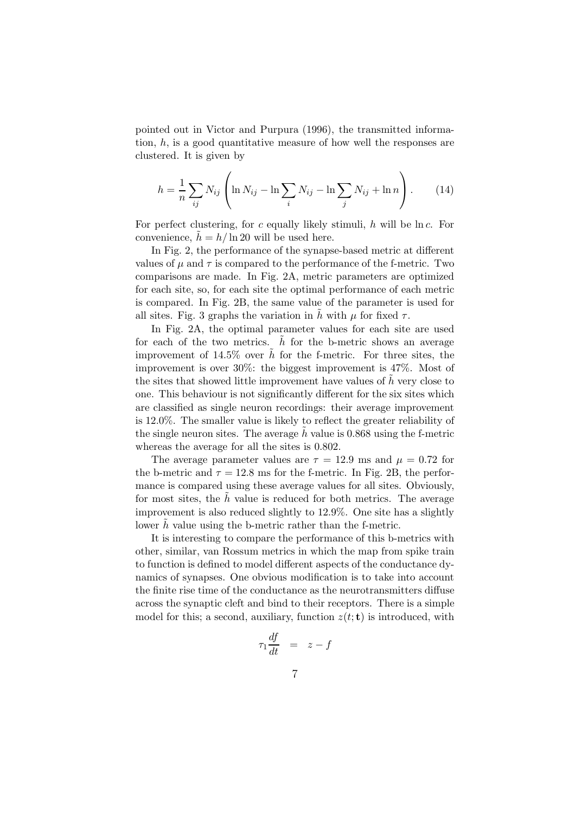pointed out in Victor and Purpura (1996), the transmitted information, h, is a good quantitative measure of how well the responses are clustered. It is given by

$$
h = \frac{1}{n} \sum_{ij} N_{ij} \left( \ln N_{ij} - \ln \sum_{i} N_{ij} - \ln \sum_{j} N_{ij} + \ln n \right).
$$
 (14)

For perfect clustering, for c equally likely stimuli, h will be  $\ln c$ . For convenience,  $\tilde{h} = h/\ln 20$  will be used here.

In Fig. 2, the performance of the synapse-based metric at different values of  $\mu$  and  $\tau$  is compared to the performance of the f-metric. Two comparisons are made. In Fig. 2A, metric parameters are optimized for each site, so, for each site the optimal performance of each metric is compared. In Fig. 2B, the same value of the parameter is used for all sites. Fig. 3 graphs the variation in h with  $\mu$  for fixed  $\tau$ .

In Fig. 2A, the optimal parameter values for each site are used for each of the two metrics.  $h$  for the b-metric shows an average improvement of 14.5% over  $\hat{h}$  for the f-metric. For three sites, the improvement is over 30%: the biggest improvement is 47%. Most of the sites that showed little improvement have values of  $h$  very close to one. This behaviour is not significantly different for the six sites which are classified as single neuron recordings: their average improvement is 12.0%. The smaller value is likely to reflect the greater reliability of the single neuron sites. The average h value is  $0.868$  using the f-metric whereas the average for all the sites is 0.802.

The average parameter values are  $\tau = 12.9$  ms and  $\mu = 0.72$  for the b-metric and  $\tau = 12.8$  ms for the f-metric. In Fig. 2B, the performance is compared using these average values for all sites. Obviously, for most sites, the  $h$  value is reduced for both metrics. The average improvement is also reduced slightly to 12.9%. One site has a slightly lower  $h$  value using the b-metric rather than the f-metric.

It is interesting to compare the performance of this b-metrics with other, similar, van Rossum metrics in which the map from spike train to function is defined to model different aspects of the conductance dynamics of synapses. One obvious modification is to take into account the finite rise time of the conductance as the neurotransmitters diffuse across the synaptic cleft and bind to their receptors. There is a simple model for this; a second, auxiliary, function  $z(t; t)$  is introduced, with

$$
\tau_1 \frac{df}{dt} = z - f
$$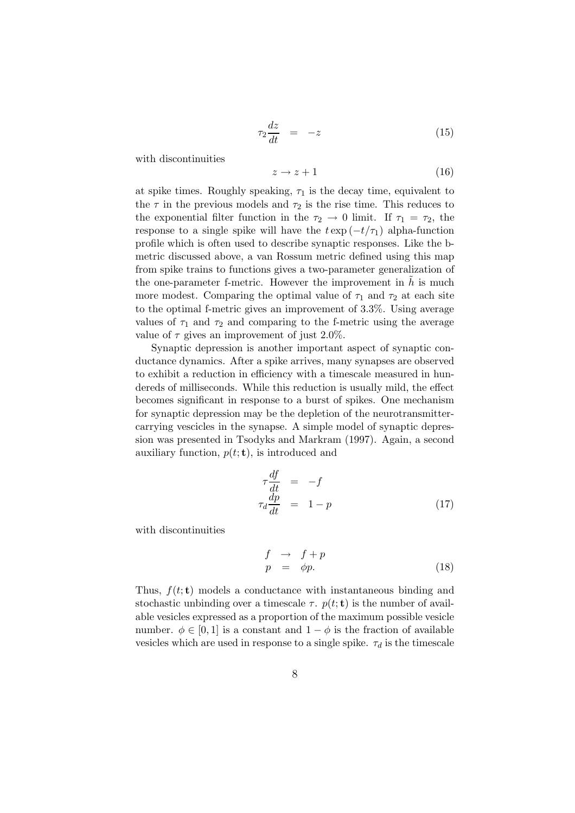$$
\tau_2 \frac{dz}{dt} = -z \tag{15}
$$

with discontinuities

$$
z \to z + 1 \tag{16}
$$

at spike times. Roughly speaking,  $\tau_1$  is the decay time, equivalent to the  $\tau$  in the previous models and  $\tau_2$  is the rise time. This reduces to the exponential filter function in the  $\tau_2 \rightarrow 0$  limit. If  $\tau_1 = \tau_2$ , the response to a single spike will have the  $t \exp(-t/\tau_1)$  alpha-function profile which is often used to describe synaptic responses. Like the bmetric discussed above, a van Rossum metric defined using this map from spike trains to functions gives a two-parameter generalization of the one-parameter f-metric. However the improvement in  $\tilde{h}$  is much more modest. Comparing the optimal value of  $\tau_1$  and  $\tau_2$  at each site to the optimal f-metric gives an improvement of 3.3%. Using average values of  $\tau_1$  and  $\tau_2$  and comparing to the f-metric using the average value of  $\tau$  gives an improvement of just 2.0%.

Synaptic depression is another important aspect of synaptic conductance dynamics. After a spike arrives, many synapses are observed to exhibit a reduction in efficiency with a timescale measured in hundereds of milliseconds. While this reduction is usually mild, the effect becomes significant in response to a burst of spikes. One mechanism for synaptic depression may be the depletion of the neurotransmittercarrying vescicles in the synapse. A simple model of synaptic depression was presented in Tsodyks and Markram (1997). Again, a second auxiliary function,  $p(t; t)$ , is introduced and

$$
\tau \frac{df}{dt} = -f
$$
\n
$$
\tau_d \frac{dp}{dt} = 1 - p \tag{17}
$$

with discontinuities

$$
\begin{array}{rcl}\nf & \to & f + p \\
p & = & \phi p.\n\end{array} \tag{18}
$$

Thus,  $f(t; \mathbf{t})$  models a conductance with instantaneous binding and stochastic unbinding over a timescale  $\tau$ .  $p(t; t)$  is the number of available vesicles expressed as a proportion of the maximum possible vesicle number.  $\phi \in [0, 1]$  is a constant and  $1 - \phi$  is the fraction of available vesicles which are used in response to a single spike.  $\tau_d$  is the timescale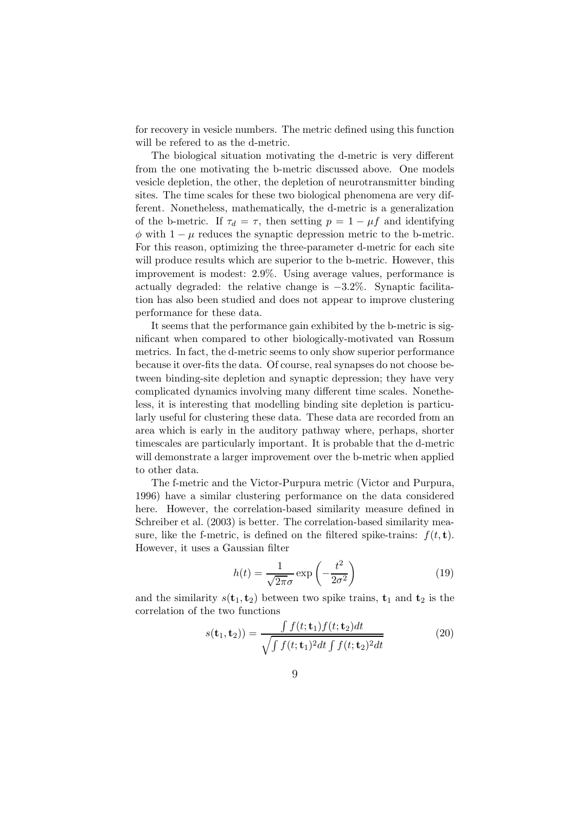for recovery in vesicle numbers. The metric defined using this function will be refered to as the d-metric.

The biological situation motivating the d-metric is very different from the one motivating the b-metric discussed above. One models vesicle depletion, the other, the depletion of neurotransmitter binding sites. The time scales for these two biological phenomena are very different. Nonetheless, mathematically, the d-metric is a generalization of the b-metric. If  $\tau_d = \tau$ , then setting  $p = 1 - \mu f$  and identifying  $\phi$  with  $1 - \mu$  reduces the synaptic depression metric to the b-metric. For this reason, optimizing the three-parameter d-metric for each site will produce results which are superior to the b-metric. However, this improvement is modest: 2.9%. Using average values, performance is actually degraded: the relative change is −3.2%. Synaptic facilitation has also been studied and does not appear to improve clustering performance for these data.

It seems that the performance gain exhibited by the b-metric is significant when compared to other biologically-motivated van Rossum metrics. In fact, the d-metric seems to only show superior performance because it over-fits the data. Of course, real synapses do not choose between binding-site depletion and synaptic depression; they have very complicated dynamics involving many different time scales. Nonetheless, it is interesting that modelling binding site depletion is particularly useful for clustering these data. These data are recorded from an area which is early in the auditory pathway where, perhaps, shorter timescales are particularly important. It is probable that the d-metric will demonstrate a larger improvement over the b-metric when applied to other data.

The f-metric and the Victor-Purpura metric (Victor and Purpura, 1996) have a similar clustering performance on the data considered here. However, the correlation-based similarity measure defined in Schreiber et al. (2003) is better. The correlation-based similarity measure, like the f-metric, is defined on the filtered spike-trains:  $f(t, t)$ . However, it uses a Gaussian filter

$$
h(t) = \frac{1}{\sqrt{2\pi}\sigma} \exp\left(-\frac{t^2}{2\sigma^2}\right)
$$
 (19)

and the similarity  $s(t_1, t_2)$  between two spike trains,  $t_1$  and  $t_2$  is the correlation of the two functions

$$
s(\mathbf{t}_1, \mathbf{t}_2)) = \frac{\int f(t; \mathbf{t}_1) f(t; \mathbf{t}_2) dt}{\sqrt{\int f(t; \mathbf{t}_1)^2 dt \int f(t; \mathbf{t}_2)^2 dt}}
$$
(20)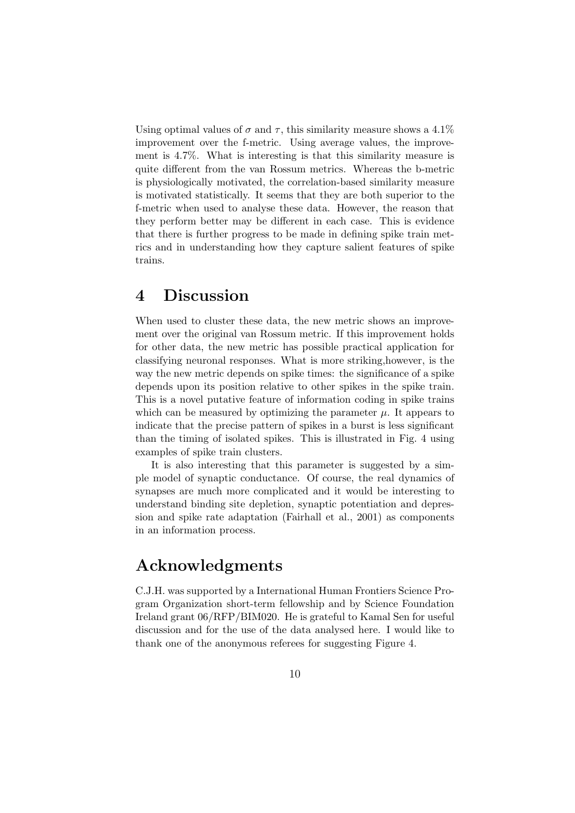Using optimal values of  $\sigma$  and  $\tau$ , this similarity measure shows a 4.1% improvement over the f-metric. Using average values, the improvement is 4.7%. What is interesting is that this similarity measure is quite different from the van Rossum metrics. Whereas the b-metric is physiologically motivated, the correlation-based similarity measure is motivated statistically. It seems that they are both superior to the f-metric when used to analyse these data. However, the reason that they perform better may be different in each case. This is evidence that there is further progress to be made in defining spike train metrics and in understanding how they capture salient features of spike trains.

### 4 Discussion

When used to cluster these data, the new metric shows an improvement over the original van Rossum metric. If this improvement holds for other data, the new metric has possible practical application for classifying neuronal responses. What is more striking,however, is the way the new metric depends on spike times: the significance of a spike depends upon its position relative to other spikes in the spike train. This is a novel putative feature of information coding in spike trains which can be measured by optimizing the parameter  $\mu$ . It appears to indicate that the precise pattern of spikes in a burst is less significant than the timing of isolated spikes. This is illustrated in Fig. 4 using examples of spike train clusters.

It is also interesting that this parameter is suggested by a simple model of synaptic conductance. Of course, the real dynamics of synapses are much more complicated and it would be interesting to understand binding site depletion, synaptic potentiation and depression and spike rate adaptation (Fairhall et al., 2001) as components in an information process.

#### Acknowledgments

C.J.H. was supported by a International Human Frontiers Science Program Organization short-term fellowship and by Science Foundation Ireland grant 06/RFP/BIM020. He is grateful to Kamal Sen for useful discussion and for the use of the data analysed here. I would like to thank one of the anonymous referees for suggesting Figure 4.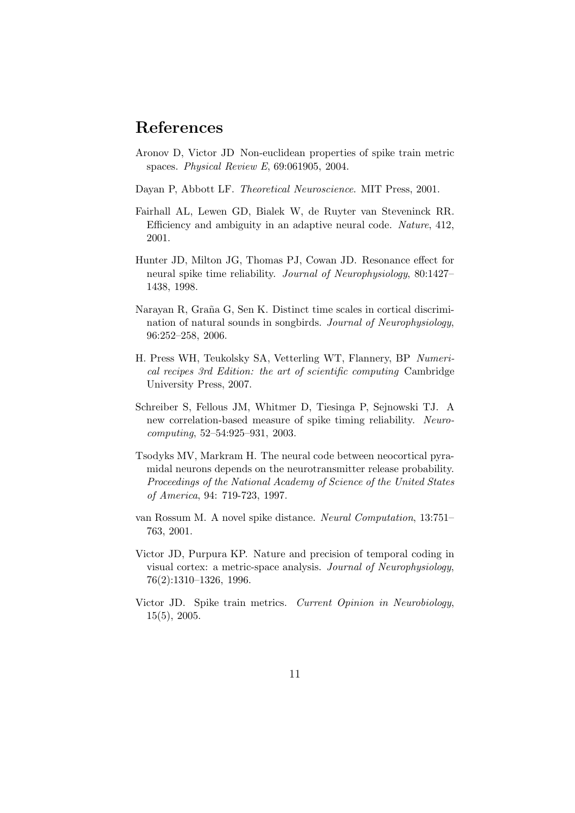## References

- Aronov D, Victor JD Non-euclidean properties of spike train metric spaces. Physical Review E, 69:061905, 2004.
- Dayan P, Abbott LF. Theoretical Neuroscience. MIT Press, 2001.
- Fairhall AL, Lewen GD, Bialek W, de Ruyter van Steveninck RR. Efficiency and ambiguity in an adaptive neural code. Nature, 412, 2001.
- Hunter JD, Milton JG, Thomas PJ, Cowan JD. Resonance effect for neural spike time reliability. Journal of Neurophysiology, 80:1427– 1438, 1998.
- Narayan R, Graña G, Sen K. Distinct time scales in cortical discrimination of natural sounds in songbirds. Journal of Neurophysiology, 96:252–258, 2006.
- H. Press WH, Teukolsky SA, Vetterling WT, Flannery, BP Numerical recipes 3rd Edition: the art of scientific computing Cambridge University Press, 2007.
- Schreiber S, Fellous JM, Whitmer D, Tiesinga P, Sejnowski TJ. A new correlation-based measure of spike timing reliability. Neurocomputing, 52–54:925–931, 2003.
- Tsodyks MV, Markram H. The neural code between neocortical pyramidal neurons depends on the neurotransmitter release probability. Proceedings of the National Academy of Science of the United States of America, 94: 719-723, 1997.
- van Rossum M. A novel spike distance. Neural Computation, 13:751– 763, 2001.
- Victor JD, Purpura KP. Nature and precision of temporal coding in visual cortex: a metric-space analysis. Journal of Neurophysiology, 76(2):1310–1326, 1996.
- Victor JD. Spike train metrics. Current Opinion in Neurobiology, 15(5), 2005.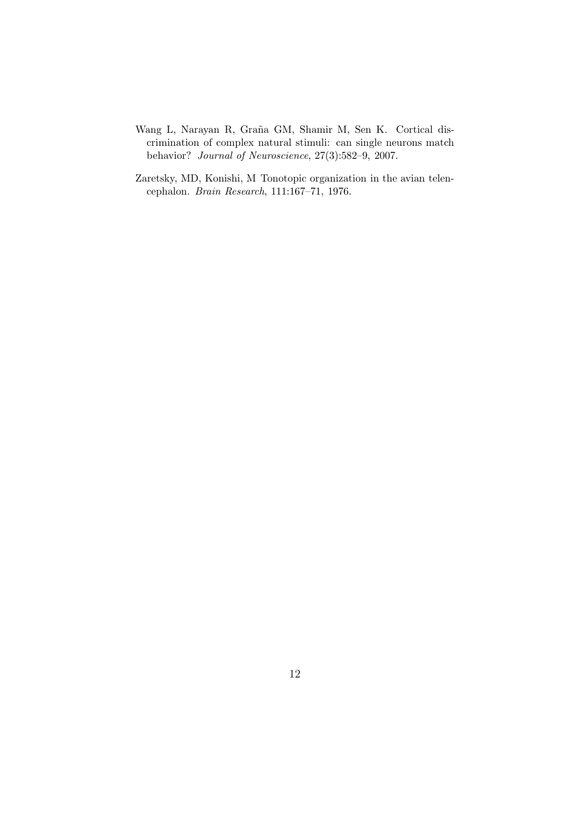- Wang L, Narayan R, Graña GM, Shamir M, Sen K. Cortical discrimination of complex natural stimuli: can single neurons match behavior? Journal of Neuroscience, 27(3):582–9, 2007.
- Zaretsky, MD, Konishi, M Tonotopic organization in the avian telencephalon. Brain Research, 111:167–71, 1976.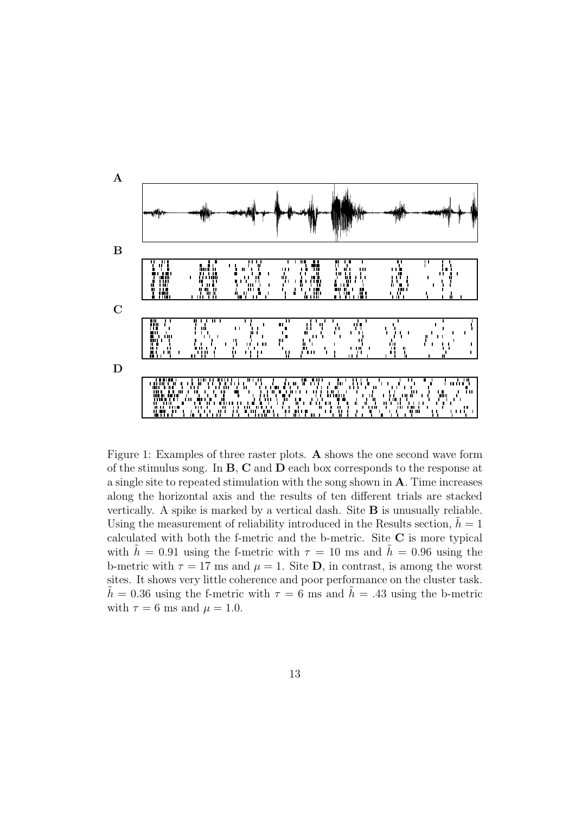

Figure 1: Examples of three raster plots. A shows the one second wave form of the stimulus song. In B, C and D each box corresponds to the response at a single site to repeated stimulation with the song shown in A. Time increases along the horizontal axis and the results of ten different trials are stacked vertically. A spike is marked by a vertical dash. Site B is unusually reliable. Using the measurement of reliability introduced in the Results section,  $\hat{h} = 1$ calculated with both the f-metric and the b-metric. Site C is more typical with  $h = 0.91$  using the f-metric with  $\tau = 10$  ms and  $h = 0.96$  using the b-metric with  $\tau = 17$  ms and  $\mu = 1$ . Site **D**, in contrast, is among the worst sites. It shows very little coherence and poor performance on the cluster task.  $h = 0.36$  using the f-metric with  $\tau = 6$  ms and  $h = .43$  using the b-metric with  $\tau = 6$  ms and  $\mu = 1.0$ .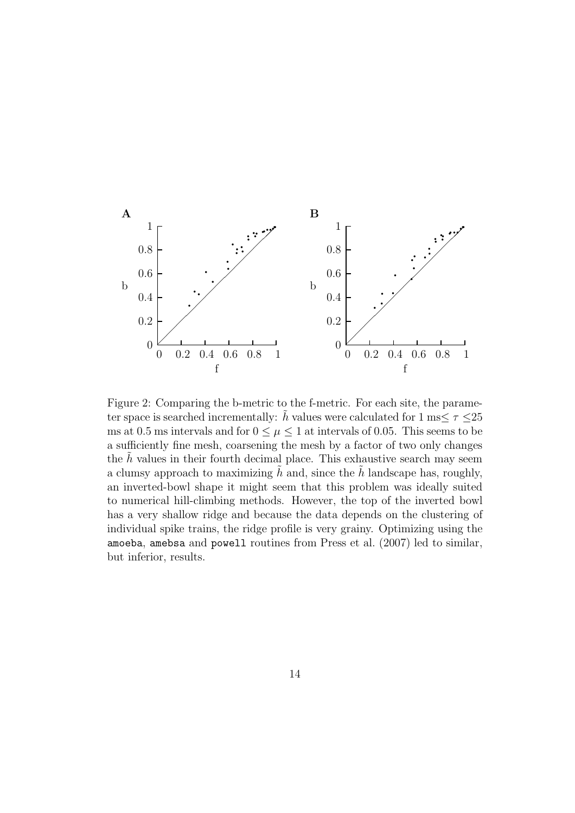

Figure 2: Comparing the b-metric to the f-metric. For each site, the parameter space is searched incrementally:  $\hat{h}$  values were calculated for 1 ms $\leq \tau \leq 25$ ms at 0.5 ms intervals and for  $0 \leq \mu \leq 1$  at intervals of 0.05. This seems to be a sufficiently fine mesh, coarsening the mesh by a factor of two only changes the  $h$  values in their fourth decimal place. This exhaustive search may seem a clumsy approach to maximizing h and, since the h landscape has, roughly, an inverted-bowl shape it might seem that this problem was ideally suited to numerical hill-climbing methods. However, the top of the inverted bowl has a very shallow ridge and because the data depends on the clustering of individual spike trains, the ridge profile is very grainy. Optimizing using the amoeba, amebsa and powell routines from Press et al. (2007) led to similar, but inferior, results.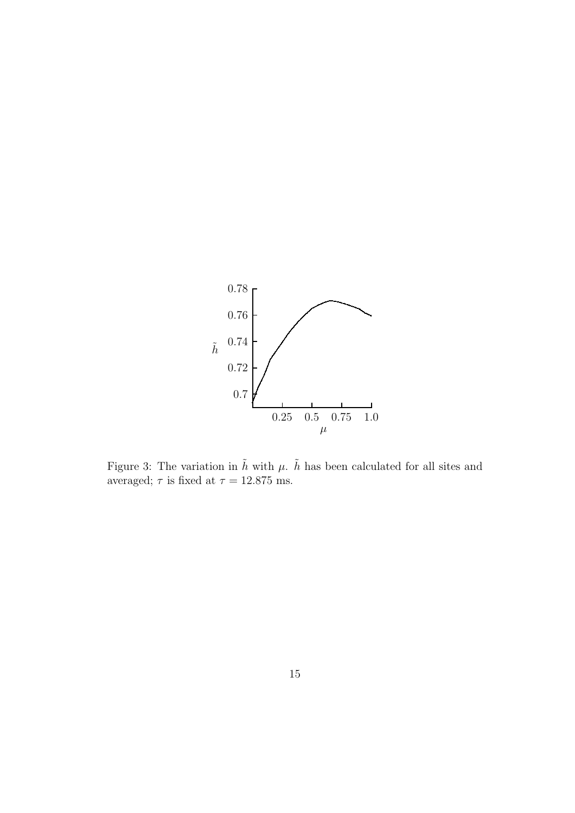

Figure 3: The variation in  $\tilde{h}$  with  $\mu$ .  $\tilde{h}$  has been calculated for all sites and averaged;  $\tau$  is fixed at  $\tau = 12.875$  ms.